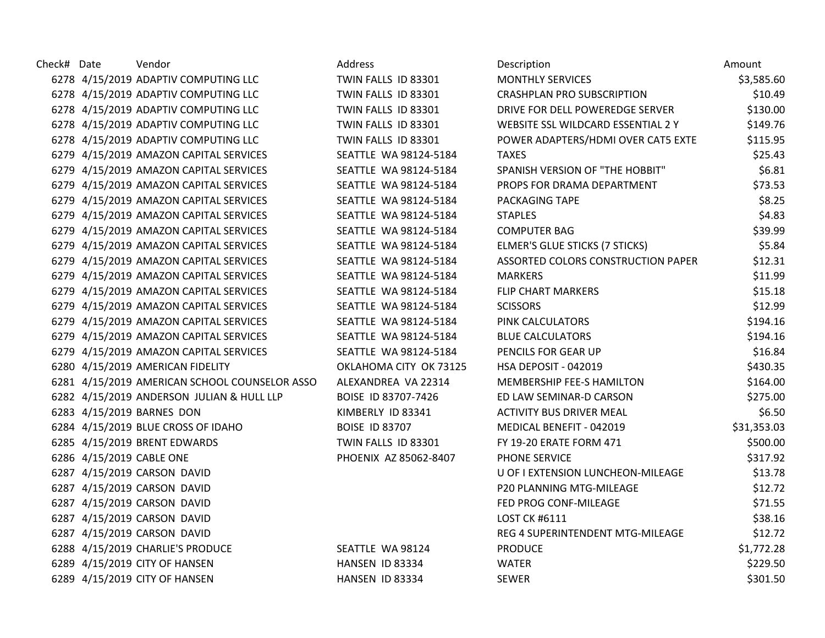| Check# Date | Vendor                                        | Address                | Description                        | Amount      |
|-------------|-----------------------------------------------|------------------------|------------------------------------|-------------|
|             | 6278 4/15/2019 ADAPTIV COMPUTING LLC          | TWIN FALLS ID 83301    | <b>MONTHLY SERVICES</b>            | \$3,585.60  |
|             | 6278 4/15/2019 ADAPTIV COMPUTING LLC          | TWIN FALLS ID 83301    | <b>CRASHPLAN PRO SUBSCRIPTION</b>  | \$10.49     |
|             | 6278 4/15/2019 ADAPTIV COMPUTING LLC          | TWIN FALLS ID 83301    | DRIVE FOR DELL POWEREDGE SERVER    | \$130.00    |
|             | 6278 4/15/2019 ADAPTIV COMPUTING LLC          | TWIN FALLS ID 83301    | WEBSITE SSL WILDCARD ESSENTIAL 2 Y | \$149.76    |
|             | 6278 4/15/2019 ADAPTIV COMPUTING LLC          | TWIN FALLS ID 83301    | POWER ADAPTERS/HDMI OVER CAT5 EXTE | \$115.95    |
|             | 6279 4/15/2019 AMAZON CAPITAL SERVICES        | SEATTLE WA 98124-5184  | <b>TAXES</b>                       | \$25.43     |
|             | 6279 4/15/2019 AMAZON CAPITAL SERVICES        | SEATTLE WA 98124-5184  | SPANISH VERSION OF "THE HOBBIT"    | \$6.81      |
|             | 6279 4/15/2019 AMAZON CAPITAL SERVICES        | SEATTLE WA 98124-5184  | PROPS FOR DRAMA DEPARTMENT         | \$73.53     |
|             | 6279 4/15/2019 AMAZON CAPITAL SERVICES        | SEATTLE WA 98124-5184  | PACKAGING TAPE                     | \$8.25      |
|             | 6279 4/15/2019 AMAZON CAPITAL SERVICES        | SEATTLE WA 98124-5184  | <b>STAPLES</b>                     | \$4.83      |
|             | 6279 4/15/2019 AMAZON CAPITAL SERVICES        | SEATTLE WA 98124-5184  | <b>COMPUTER BAG</b>                | \$39.99     |
|             | 6279 4/15/2019 AMAZON CAPITAL SERVICES        | SEATTLE WA 98124-5184  | ELMER'S GLUE STICKS (7 STICKS)     | \$5.84      |
|             | 6279 4/15/2019 AMAZON CAPITAL SERVICES        | SEATTLE WA 98124-5184  | ASSORTED COLORS CONSTRUCTION PAPER | \$12.31     |
|             | 6279 4/15/2019 AMAZON CAPITAL SERVICES        | SEATTLE WA 98124-5184  | <b>MARKERS</b>                     | \$11.99     |
|             | 6279 4/15/2019 AMAZON CAPITAL SERVICES        | SEATTLE WA 98124-5184  | <b>FLIP CHART MARKERS</b>          | \$15.18     |
|             | 6279 4/15/2019 AMAZON CAPITAL SERVICES        | SEATTLE WA 98124-5184  | <b>SCISSORS</b>                    | \$12.99     |
|             | 6279 4/15/2019 AMAZON CAPITAL SERVICES        | SEATTLE WA 98124-5184  | PINK CALCULATORS                   | \$194.16    |
|             | 6279 4/15/2019 AMAZON CAPITAL SERVICES        | SEATTLE WA 98124-5184  | <b>BLUE CALCULATORS</b>            | \$194.16    |
|             | 6279 4/15/2019 AMAZON CAPITAL SERVICES        | SEATTLE WA 98124-5184  | PENCILS FOR GEAR UP                | \$16.84     |
|             | 6280 4/15/2019 AMERICAN FIDELITY              | OKLAHOMA CITY OK 73125 | HSA DEPOSIT - 042019               | \$430.35    |
|             | 6281 4/15/2019 AMERICAN SCHOOL COUNSELOR ASSO | ALEXANDREA VA 22314    | <b>MEMBERSHIP FEE-S HAMILTON</b>   | \$164.00    |
|             | 6282 4/15/2019 ANDERSON JULIAN & HULL LLP     | BOISE ID 83707-7426    | ED LAW SEMINAR-D CARSON            | \$275.00    |
|             | 6283 4/15/2019 BARNES DON                     | KIMBERLY ID 83341      | ACTIVITY BUS DRIVER MEAL           | \$6.50      |
|             | 6284 4/15/2019 BLUE CROSS OF IDAHO            | <b>BOISE ID 83707</b>  | MEDICAL BENEFIT - 042019           | \$31,353.03 |
|             | 6285 4/15/2019 BRENT EDWARDS                  | TWIN FALLS ID 83301    | FY 19-20 ERATE FORM 471            | \$500.00    |
|             | 6286 4/15/2019 CABLE ONE                      | PHOENIX AZ 85062-8407  | PHONE SERVICE                      | \$317.92    |
|             | 6287 4/15/2019 CARSON DAVID                   |                        | U OF I EXTENSION LUNCHEON-MILEAGE  | \$13.78     |
|             | 6287 4/15/2019 CARSON DAVID                   |                        | P20 PLANNING MTG-MILEAGE           | \$12.72     |
|             | 6287 4/15/2019 CARSON DAVID                   |                        | FED PROG CONF-MILEAGE              | \$71.55     |
|             | 6287 4/15/2019 CARSON DAVID                   |                        | LOST CK #6111                      | \$38.16     |
|             | 6287 4/15/2019 CARSON DAVID                   |                        | REG 4 SUPERINTENDENT MTG-MILEAGE   | \$12.72     |
|             | 6288 4/15/2019 CHARLIE'S PRODUCE              | SEATTLE WA 98124       | <b>PRODUCE</b>                     | \$1,772.28  |
|             | 6289 4/15/2019 CITY OF HANSEN                 | HANSEN ID 83334        | <b>WATER</b>                       | \$229.50    |
|             | 6289 4/15/2019 CITY OF HANSEN                 | HANSEN ID 83334        | <b>SEWER</b>                       | \$301.50    |
|             |                                               |                        |                                    |             |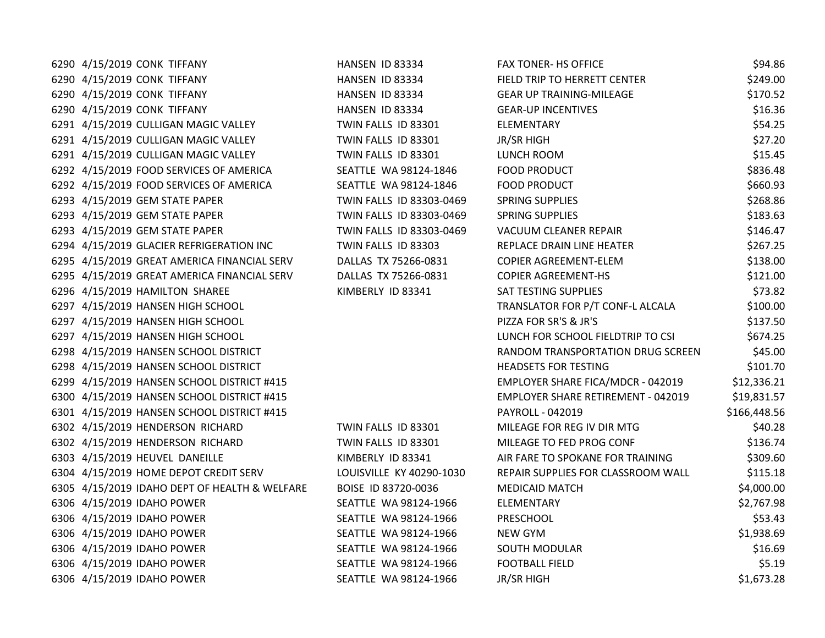| 6290 4/15/2019 CONK TIFFANY                   | HANSEN ID 83334          | <b>FAX TONER- HS OFFICE</b>               | \$94.86      |
|-----------------------------------------------|--------------------------|-------------------------------------------|--------------|
| 6290 4/15/2019 CONK TIFFANY                   | HANSEN ID 83334          | FIELD TRIP TO HERRETT CENTER              | \$249.00     |
| 6290 4/15/2019 CONK TIFFANY                   | HANSEN ID 83334          | <b>GEAR UP TRAINING-MILEAGE</b>           | \$170.52     |
| 6290 4/15/2019 CONK TIFFANY                   | HANSEN ID 83334          | <b>GEAR-UP INCENTIVES</b>                 | \$16.36      |
| 6291 4/15/2019 CULLIGAN MAGIC VALLEY          | TWIN FALLS ID 83301      | ELEMENTARY                                | \$54.25      |
| 6291 4/15/2019 CULLIGAN MAGIC VALLEY          | TWIN FALLS ID 83301      | JR/SR HIGH                                | \$27.20      |
| 6291 4/15/2019 CULLIGAN MAGIC VALLEY          | TWIN FALLS ID 83301      | LUNCH ROOM                                | \$15.45      |
| 6292 4/15/2019 FOOD SERVICES OF AMERICA       | SEATTLE WA 98124-1846    | <b>FOOD PRODUCT</b>                       | \$836.48     |
| 6292 4/15/2019 FOOD SERVICES OF AMERICA       | SEATTLE WA 98124-1846    | <b>FOOD PRODUCT</b>                       | \$660.93     |
| 6293 4/15/2019 GEM STATE PAPER                | TWIN FALLS ID 83303-0469 | <b>SPRING SUPPLIES</b>                    | \$268.86     |
| 6293 4/15/2019 GEM STATE PAPER                | TWIN FALLS ID 83303-0469 | <b>SPRING SUPPLIES</b>                    | \$183.63     |
| 6293 4/15/2019 GEM STATE PAPER                | TWIN FALLS ID 83303-0469 | VACUUM CLEANER REPAIR                     | \$146.47     |
| 6294 4/15/2019 GLACIER REFRIGERATION INC      | TWIN FALLS ID 83303      | REPLACE DRAIN LINE HEATER                 | \$267.25     |
| 6295 4/15/2019 GREAT AMERICA FINANCIAL SERV   | DALLAS TX 75266-0831     | COPIER AGREEMENT-ELEM                     | \$138.00     |
| 6295 4/15/2019 GREAT AMERICA FINANCIAL SERV   | DALLAS TX 75266-0831     | <b>COPIER AGREEMENT-HS</b>                | \$121.00     |
| 6296 4/15/2019 HAMILTON SHAREE                | KIMBERLY ID 83341        | SAT TESTING SUPPLIES                      | \$73.82      |
| 6297 4/15/2019 HANSEN HIGH SCHOOL             |                          | TRANSLATOR FOR P/T CONF-L ALCALA          | \$100.00     |
| 6297 4/15/2019 HANSEN HIGH SCHOOL             |                          | PIZZA FOR SR'S & JR'S                     | \$137.50     |
| 6297 4/15/2019 HANSEN HIGH SCHOOL             |                          | LUNCH FOR SCHOOL FIELDTRIP TO CSI         | \$674.25     |
| 6298 4/15/2019 HANSEN SCHOOL DISTRICT         |                          | RANDOM TRANSPORTATION DRUG SCREEN         | \$45.00      |
| 6298 4/15/2019 HANSEN SCHOOL DISTRICT         |                          | <b>HEADSETS FOR TESTING</b>               | \$101.70     |
| 6299 4/15/2019 HANSEN SCHOOL DISTRICT #415    |                          | EMPLOYER SHARE FICA/MDCR - 042019         | \$12,336.21  |
| 6300 4/15/2019 HANSEN SCHOOL DISTRICT #415    |                          | <b>EMPLOYER SHARE RETIREMENT - 042019</b> | \$19,831.57  |
| 6301 4/15/2019 HANSEN SCHOOL DISTRICT #415    |                          | PAYROLL - 042019                          | \$166,448.56 |
| 6302 4/15/2019 HENDERSON RICHARD              | TWIN FALLS ID 83301      | MILEAGE FOR REG IV DIR MTG                | \$40.28      |
| 6302 4/15/2019 HENDERSON RICHARD              | TWIN FALLS ID 83301      | MILEAGE TO FED PROG CONF                  | \$136.74     |
| 6303 4/15/2019 HEUVEL DANEILLE                | KIMBERLY ID 83341        | AIR FARE TO SPOKANE FOR TRAINING          | \$309.60     |
| 6304 4/15/2019 HOME DEPOT CREDIT SERV         | LOUISVILLE KY 40290-1030 | REPAIR SUPPLIES FOR CLASSROOM WALL        | \$115.18     |
| 6305 4/15/2019 IDAHO DEPT OF HEALTH & WELFARE | BOISE ID 83720-0036      | <b>MEDICAID MATCH</b>                     | \$4,000.00   |
| 6306 4/15/2019 IDAHO POWER                    | SEATTLE WA 98124-1966    | ELEMENTARY                                | \$2,767.98   |
| 6306 4/15/2019 IDAHO POWER                    | SEATTLE WA 98124-1966    | PRESCHOOL                                 | \$53.43      |
| 6306 4/15/2019 IDAHO POWER                    | SEATTLE WA 98124-1966    | NEW GYM                                   | \$1,938.69   |
| 6306 4/15/2019 IDAHO POWER                    | SEATTLE WA 98124-1966    | <b>SOUTH MODULAR</b>                      | \$16.69      |
| 6306 4/15/2019 IDAHO POWER                    | SEATTLE WA 98124-1966    | <b>FOOTBALL FIELD</b>                     | \$5.19       |
| 6306 4/15/2019 IDAHO POWER                    | SEATTLE WA 98124-1966    | JR/SR HIGH                                | \$1,673.28   |
|                                               |                          |                                           |              |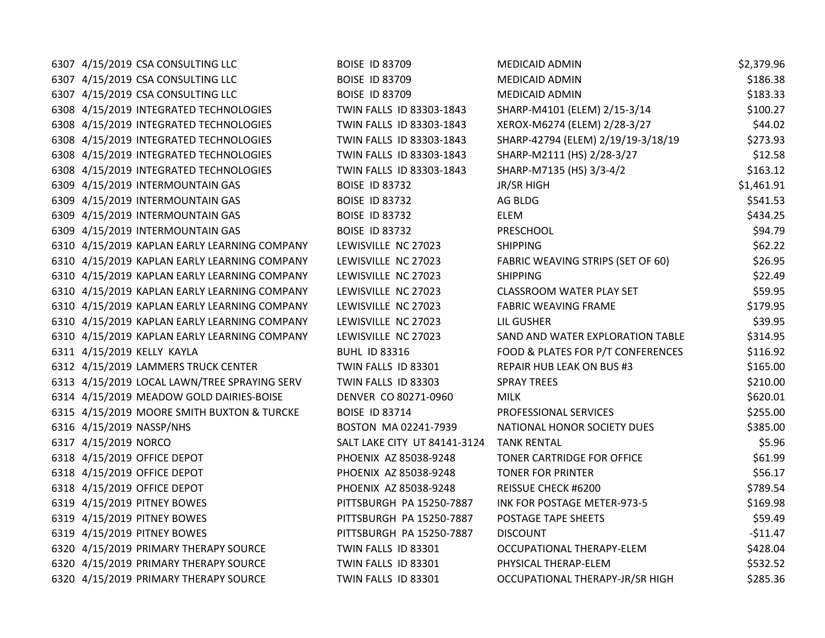| 6307 4/15/2019 CSA CONSULTING LLC            | <b>BOISE ID 83709</b>        | <b>MEDICAID ADMIN</b>              | \$2,379.96 |
|----------------------------------------------|------------------------------|------------------------------------|------------|
| 6307 4/15/2019 CSA CONSULTING LLC            | <b>BOISE ID 83709</b>        | <b>MEDICAID ADMIN</b>              | \$186.38   |
| 6307 4/15/2019 CSA CONSULTING LLC            | <b>BOISE ID 83709</b>        | <b>MEDICAID ADMIN</b>              | \$183.33   |
| 6308 4/15/2019 INTEGRATED TECHNOLOGIES       | TWIN FALLS ID 83303-1843     | SHARP-M4101 (ELEM) 2/15-3/14       | \$100.27   |
| 6308 4/15/2019 INTEGRATED TECHNOLOGIES       | TWIN FALLS ID 83303-1843     | XEROX-M6274 (ELEM) 2/28-3/27       | \$44.02    |
| 6308 4/15/2019 INTEGRATED TECHNOLOGIES       | TWIN FALLS ID 83303-1843     | SHARP-42794 (ELEM) 2/19/19-3/18/19 | \$273.93   |
| 6308 4/15/2019 INTEGRATED TECHNOLOGIES       | TWIN FALLS ID 83303-1843     | SHARP-M2111 (HS) 2/28-3/27         | \$12.58    |
| 6308 4/15/2019 INTEGRATED TECHNOLOGIES       | TWIN FALLS ID 83303-1843     | SHARP-M7135 (HS) 3/3-4/2           | \$163.12   |
| 6309 4/15/2019 INTERMOUNTAIN GAS             | <b>BOISE ID 83732</b>        | JR/SR HIGH                         | \$1,461.91 |
| 6309 4/15/2019 INTERMOUNTAIN GAS             | <b>BOISE ID 83732</b>        | AG BLDG                            | \$541.53   |
| 6309 4/15/2019 INTERMOUNTAIN GAS             | <b>BOISE ID 83732</b>        | <b>ELEM</b>                        | \$434.25   |
| 6309 4/15/2019 INTERMOUNTAIN GAS             | <b>BOISE ID 83732</b>        | PRESCHOOL                          | \$94.79    |
| 6310 4/15/2019 KAPLAN EARLY LEARNING COMPANY | LEWISVILLE NC 27023          | <b>SHIPPING</b>                    | \$62.22    |
| 6310 4/15/2019 KAPLAN EARLY LEARNING COMPANY | LEWISVILLE NC 27023          | FABRIC WEAVING STRIPS (SET OF 60)  | \$26.95    |
| 6310 4/15/2019 KAPLAN EARLY LEARNING COMPANY | LEWISVILLE NC 27023          | <b>SHIPPING</b>                    | \$22.49    |
| 6310 4/15/2019 KAPLAN EARLY LEARNING COMPANY | LEWISVILLE NC 27023          | <b>CLASSROOM WATER PLAY SET</b>    | \$59.95    |
| 6310 4/15/2019 KAPLAN EARLY LEARNING COMPANY | LEWISVILLE NC 27023          | <b>FABRIC WEAVING FRAME</b>        | \$179.95   |
| 6310 4/15/2019 KAPLAN EARLY LEARNING COMPANY | LEWISVILLE NC 27023          | LIL GUSHER                         | \$39.95    |
| 6310 4/15/2019 KAPLAN EARLY LEARNING COMPANY | LEWISVILLE NC 27023          | SAND AND WATER EXPLORATION TABLE   | \$314.95   |
| 6311 4/15/2019 KELLY KAYLA                   | <b>BUHL ID 83316</b>         | FOOD & PLATES FOR P/T CONFERENCES  | \$116.92   |
| 6312 4/15/2019 LAMMERS TRUCK CENTER          | TWIN FALLS ID 83301          | <b>REPAIR HUB LEAK ON BUS #3</b>   | \$165.00   |
| 6313 4/15/2019 LOCAL LAWN/TREE SPRAYING SERV | TWIN FALLS ID 83303          | <b>SPRAY TREES</b>                 | \$210.00   |
| 6314 4/15/2019 MEADOW GOLD DAIRIES-BOISE     | DENVER CO 80271-0960         | <b>MILK</b>                        | \$620.01   |
| 6315 4/15/2019 MOORE SMITH BUXTON & TURCKE   | <b>BOISE ID 83714</b>        | <b>PROFESSIONAL SERVICES</b>       | \$255.00   |
| 6316 4/15/2019 NASSP/NHS                     | BOSTON MA 02241-7939         | NATIONAL HONOR SOCIETY DUES        | \$385.00   |
| 6317 4/15/2019 NORCO                         | SALT LAKE CITY UT 84141-3124 | <b>TANK RENTAL</b>                 | \$5.96     |
| 6318 4/15/2019 OFFICE DEPOT                  | PHOENIX AZ 85038-9248        | TONER CARTRIDGE FOR OFFICE         | \$61.99    |
| 6318 4/15/2019 OFFICE DEPOT                  | PHOENIX AZ 85038-9248        | <b>TONER FOR PRINTER</b>           | \$56.17    |
| 6318 4/15/2019 OFFICE DEPOT                  | PHOENIX AZ 85038-9248        | REISSUE CHECK #6200                | \$789.54   |
| 6319 4/15/2019 PITNEY BOWES                  | PITTSBURGH PA 15250-7887     | INK FOR POSTAGE METER-973-5        | \$169.98   |
| 6319 4/15/2019 PITNEY BOWES                  | PITTSBURGH PA 15250-7887     | POSTAGE TAPE SHEETS                | \$59.49    |
| 6319 4/15/2019 PITNEY BOWES                  | PITTSBURGH PA 15250-7887     | <b>DISCOUNT</b>                    | $-511.47$  |
| 6320 4/15/2019 PRIMARY THERAPY SOURCE        | TWIN FALLS ID 83301          | OCCUPATIONAL THERAPY-ELEM          | \$428.04   |
| 6320 4/15/2019 PRIMARY THERAPY SOURCE        | TWIN FALLS ID 83301          | PHYSICAL THERAP-ELEM               | \$532.52   |
| 6320 4/15/2019 PRIMARY THERAPY SOURCE        | TWIN FALLS ID 83301          | OCCUPATIONAL THERAPY-JR/SR HIGH    | \$285.36   |
|                                              |                              |                                    |            |